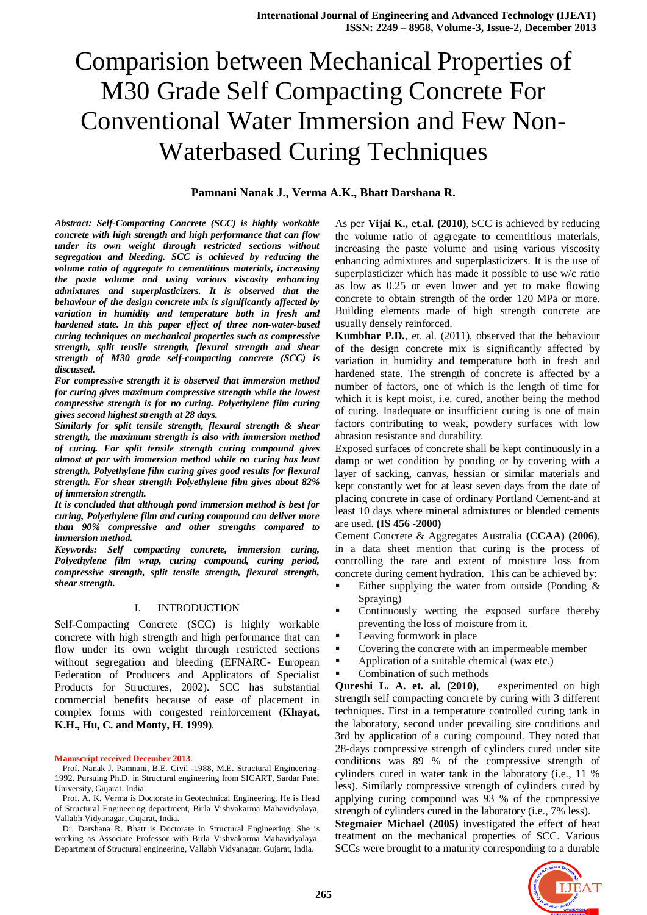## **Pamnani Nanak J., Verma A.K., Bhatt Darshana R.**

*Abstract: Self-Compacting Concrete (SCC) is highly workable concrete with high strength and high performance that can flow under its own weight through restricted sections without segregation and bleeding. SCC is achieved by reducing the volume ratio of aggregate to cementitious materials, increasing the paste volume and using various viscosity enhancing admixtures and superplasticizers. It is observed that the behaviour of the design concrete mix is significantly affected by variation in humidity and temperature both in fresh and hardened state. In this paper effect of three non-water-based curing techniques on mechanical properties such as compressive strength, split tensile strength, flexural strength and shear strength of M30 grade self-compacting concrete (SCC) is discussed.* 

*For compressive strength it is observed that immersion method for curing gives maximum compressive strength while the lowest compressive strength is for no curing. Polyethylene film curing gives second highest strength at 28 days.*

*Similarly for split tensile strength, flexural strength & shear strength, the maximum strength is also with immersion method of curing. For split tensile strength curing compound gives almost at par with immersion method while no curing has least strength. Polyethylene film curing gives good results for flexural strength. For shear strength Polyethylene film gives about 82% of immersion strength.*

*It is concluded that although pond immersion method is best for curing, Polyethylene film and curing compound can deliver more than 90% compressive and other strengths compared to immersion method.*

*Keywords: Self compacting concrete, immersion curing, Polyethylene film wrap, curing compound, curing period, compressive strength, split tensile strength, flexural strength, shear strength.*

#### I. INTRODUCTION

Self-Compacting Concrete (SCC) is highly workable concrete with high strength and high performance that can flow under its own weight through restricted sections without segregation and bleeding (EFNARC- European Federation of Producers and Applicators of Specialist Products for Structures, 2002). SCC has substantial commercial benefits because of ease of placement in complex forms with congested reinforcement **(Khayat, K.H., Hu, C. and Monty, H. 1999)**.

#### **Manuscript received December 2013**.

Prof. Nanak J. Pamnani, B.E. Civil -1988, M.E. Structural Engineering-1992. Pursuing Ph.D. in Structural engineering from SICART, Sardar Patel University, Gujarat, India.

Prof. A. K. Verma is Doctorate in Geotechnical Engineering. He is Head of Structural Engineering department, Birla Vishvakarma Mahavidyalaya, Vallabh Vidyanagar, Gujarat, India.

Dr. Darshana R. Bhatt is Doctorate in Structural Engineering. She is working as Associate Professor with Birla Vishvakarma Mahavidyalaya, Department of Structural engineering, Vallabh Vidyanagar, Gujarat, India.

As per **Vijai K., et.al. (2010)**, SCC is achieved by reducing the volume ratio of aggregate to cementitious materials, increasing the paste volume and using various viscosity enhancing admixtures and superplasticizers. It is the use of superplasticizer which has made it possible to use w/c ratio as low as 0.25 or even lower and yet to make flowing concrete to obtain strength of the order 120 MPa or more. Building elements made of high strength concrete are usually densely reinforced.

**Kumbhar P.D***.*, et. al. (2011), observed that the behaviour of the design concrete mix is significantly affected by variation in humidity and temperature both in fresh and hardened state. The strength of concrete is affected by a number of factors, one of which is the length of time for which it is kept moist, i.e. cured, another being the method of curing. Inadequate or insufficient curing is one of main factors contributing to weak, powdery surfaces with low abrasion resistance and durability.

Exposed surfaces of concrete shall be kept continuously in a damp or wet condition by ponding or by covering with a layer of sacking, canvas, hessian or similar materials and kept constantly wet for at least seven days from the date of placing concrete in case of ordinary Portland Cement-and at least 10 days where mineral admixtures or blended cements are used. **(IS 456 -2000)**

Cement Concrete & Aggregates Australia **(CCAA) (2006)**, in a data sheet mention that curing is the process of controlling the rate and extent of moisture loss from concrete during cement hydration. This can be achieved by:

- Either supplying the water from outside (Ponding & Spraying)
- Continuously wetting the exposed surface thereby preventing the loss of moisture from it.
- Leaving formwork in place
- Covering the concrete with an impermeable member
- Application of a suitable chemical (wax etc.)
- Combination of such methods

**Qureshi L. A. et. al. (2010)**, experimented on high strength self compacting concrete by curing with 3 different techniques. First in a temperature controlled curing tank in the laboratory, second under prevailing site conditions and 3rd by application of a curing compound. They noted that 28-days compressive strength of cylinders cured under site conditions was 89 % of the compressive strength of cylinders cured in water tank in the laboratory (i.e., 11 % less). Similarly compressive strength of cylinders cured by applying curing compound was 93 % of the compressive strength of cylinders cured in the laboratory (i.e., 7% less).

**Stegmaier Michael (2005)** investigated the effect of heat treatment on the mechanical properties of SCC. Various SCCs were brought to a maturity corresponding to a durable

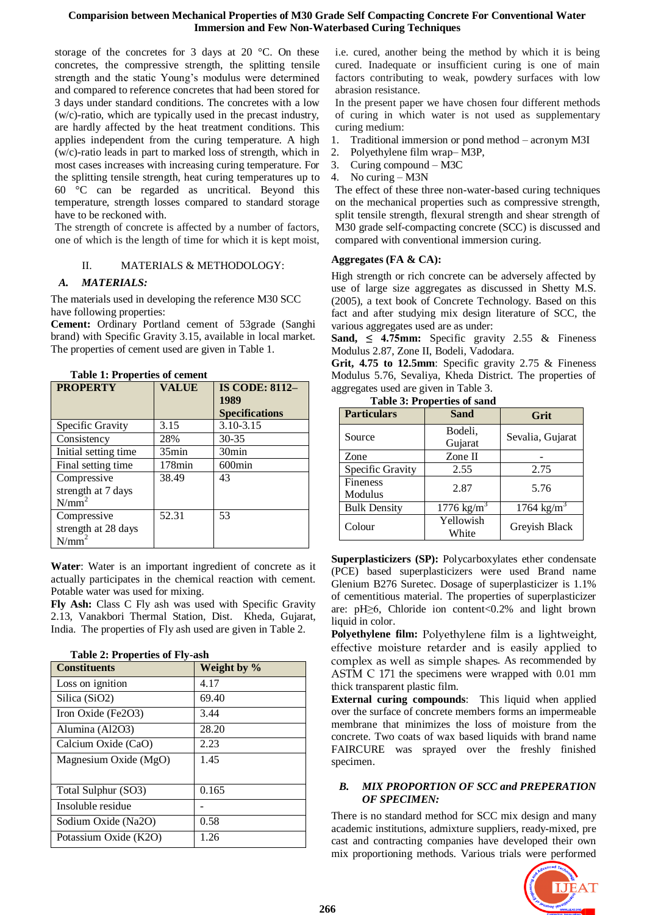storage of the concretes for 3 days at 20 °C. On these concretes, the compressive strength, the splitting tensile strength and the static Young's modulus were determined and compared to reference concretes that had been stored for 3 days under standard conditions. The concretes with a low (w/c)-ratio, which are typically used in the precast industry, are hardly affected by the heat treatment conditions. This applies independent from the curing temperature. A high (w/c)-ratio leads in part to marked loss of strength, which in most cases increases with increasing curing temperature. For the splitting tensile strength, heat curing temperatures up to 60 °C can be regarded as uncritical. Beyond this temperature, strength losses compared to standard storage have to be reckoned with.

The strength of concrete is affected by a number of factors, one of which is the length of time for which it is kept moist,

## II. MATERIALS & METHODOLOGY:

## *A. MATERIALS:*

The materials used in developing the reference M30 SCC have following properties:

**Cement:** Ordinary Portland cement of 53grade (Sanghi brand) with Specific Gravity 3.15, available in local market. The properties of cement used are given in Table 1.

| <b>PROPERTY</b>                               | <b>VALUE</b> | <b>IS CODE: 8112-</b><br>1989<br><b>Specifications</b> |
|-----------------------------------------------|--------------|--------------------------------------------------------|
| Specific Gravity                              | 3.15         | 3.10-3.15                                              |
| Consistency                                   | 28%          | $30 - 35$                                              |
| Initial setting time                          | $35$ min     | 30 <sub>min</sub>                                      |
| Final setting time                            | $178$ min    | $600$ min                                              |
| Compressive<br>strength at 7 days<br>$N/mm^2$ | 38.49        | 43                                                     |
| Compressive<br>strength at 28 days<br>N/mm    | 52.31        | 53                                                     |

**Table 1: Properties of cement**

**Water**: Water is an important ingredient of concrete as it actually participates in the chemical reaction with cement. Potable water was used for mixing.

**Fly Ash:** Class C Fly ash was used with Specific Gravity 2.13, Vanakbori Thermal Station, Dist. Kheda, Gujarat, India. The properties of Fly ash used are given in Table 2.

| Table 2: Froperues of Fly-asii |             |  |  |  |
|--------------------------------|-------------|--|--|--|
| <b>Constituents</b>            | Weight by % |  |  |  |
| Loss on ignition               | 4.17        |  |  |  |
| Silica (SiO2)                  | 69.40       |  |  |  |
| Iron Oxide (Fe2O3)             | 3.44        |  |  |  |
| Alumina (Al2O3)                | 28.20       |  |  |  |
| Calcium Oxide (CaO)            | 2.23        |  |  |  |
| Magnesium Oxide (MgO)          | 1.45        |  |  |  |
|                                |             |  |  |  |
| Total Sulphur (SO3)            | 0.165       |  |  |  |
| Insoluble residue              |             |  |  |  |
| Sodium Oxide (Na2O)            | 0.58        |  |  |  |
| Potassium Oxide (K2O)          | 1.26        |  |  |  |

**Table 2: Properties of Fly-ash**

i.e. cured, another being the method by which it is being cured. Inadequate or insufficient curing is one of main factors contributing to weak, powdery surfaces with low abrasion resistance.

In the present paper we have chosen four different methods of curing in which water is not used as supplementary curing medium:

- 1. Traditional immersion or pond method acronym M3I
- 2. Polyethylene film wrap– M3P,
- 3. Curing compound M3C
- 4. No curing M3N

The effect of these three non-water-based curing techniques on the mechanical properties such as compressive strength, split tensile strength, flexural strength and shear strength of M30 grade self-compacting concrete (SCC) is discussed and compared with conventional immersion curing.

## **Aggregates (FA & CA):**

High strength or rich concrete can be adversely affected by use of large size aggregates as discussed in Shetty M.S. (2005), a text book of Concrete Technology. Based on this fact and after studying mix design literature of SCC, the various aggregates used are as under:

**Sand,**  $\leq$  **4.75mm:** Specific gravity 2.55  $\&$  Fineness Modulus 2.87, Zone II, Bodeli, Vadodara.

**Grit, 4.75 to 12.5mm**: Specific gravity 2.75 & Fineness Modulus 5.76, Sevaliya, Kheda District. The properties of aggregates used are given in Table 3.

| L'able 5; l'10 del ties di saliu |                       |                      |  |  |  |
|----------------------------------|-----------------------|----------------------|--|--|--|
| <b>Particulars</b>               | <b>Sand</b>           | Grit                 |  |  |  |
| Source                           | Bodeli,<br>Gujarat    | Sevalia, Gujarat     |  |  |  |
| Zone                             | Zone II               |                      |  |  |  |
| Specific Gravity                 | 2.55                  | 2.75                 |  |  |  |
| <b>Fineness</b><br>Modulus       | 2.87                  | 5.76                 |  |  |  |
| <b>Bulk Density</b>              | $1776 \text{ kg/m}^3$ | 1764 $\text{kg/m}^3$ |  |  |  |
| Colour                           | Yellowish<br>White    | Greyish Black        |  |  |  |

Table 3: Properties of

**Superplasticizers (SP):** Polycarboxylates ether condensate (PCE) based superplasticizers were used Brand name Glenium B276 Suretec. Dosage of superplasticizer is 1.1% of cementitious material. The properties of superplasticizer are: pH≥6, Chloride ion content<0.2% and light brown liquid in color.

**Polyethylene film:** Polyethylene film is a lightweight, effective moisture retarder and is easily applied to complex as well as simple shapes. As recommended by ASTM C 171 the specimens were wrapped with  $0.01$  mm thick transparent plastic film.

**External curing compounds**: This liquid when applied over the surface of concrete members forms an impermeable membrane that minimizes the loss of moisture from the concrete. Two coats of wax based liquids with brand name FAIRCURE was sprayed over the freshly finished specimen.

## *B. MIX PROPORTION OF SCC and PREPERATION OF SPECIMEN:*

There is no standard method for SCC mix design and many academic institutions, admixture suppliers, ready-mixed, pre cast and contracting companies have developed their own mix proportioning methods. Various trials were performed

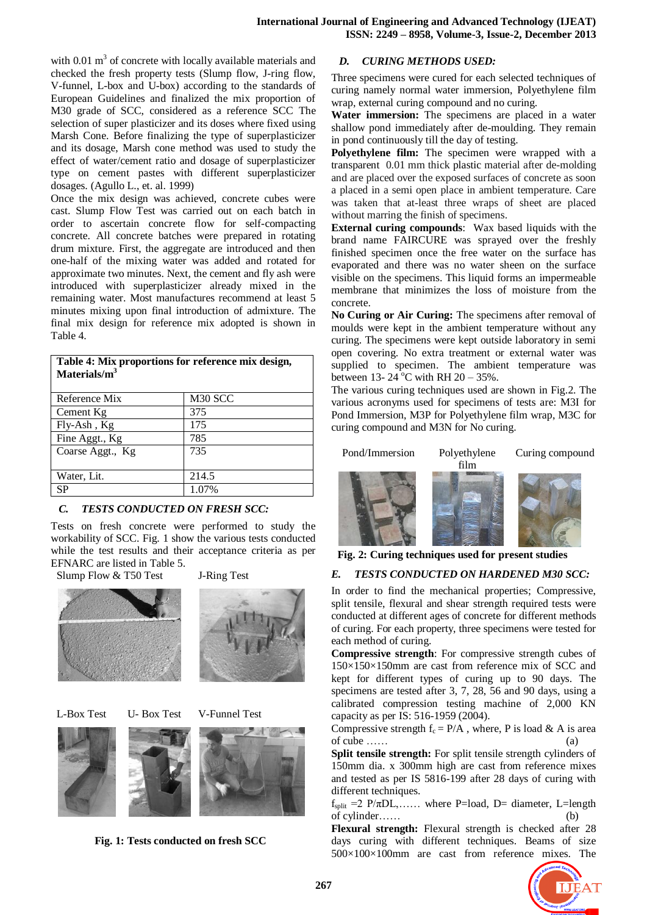with  $0.01 \text{ m}^3$  of concrete with locally available materials and checked the fresh property tests (Slump flow, J-ring flow, V-funnel, L-box and U-box) according to the standards of European Guidelines and finalized the mix proportion of M30 grade of SCC, considered as a reference SCC The selection of super plasticizer and its doses where fixed using Marsh Cone. Before finalizing the type of superplasticizer and its dosage, Marsh cone method was used to study the effect of water/cement ratio and dosage of superplasticizer type on cement pastes with different superplasticizer dosages. (Agullo L., et. al. 1999)

Once the mix design was achieved, concrete cubes were cast. Slump Flow Test was carried out on each batch in order to ascertain concrete flow for self-compacting concrete. All concrete batches were prepared in rotating drum mixture. First, the aggregate are introduced and then one-half of the mixing water was added and rotated for approximate two minutes. Next, the cement and fly ash were introduced with superplasticizer already mixed in the remaining water. Most manufactures recommend at least 5 minutes mixing upon final introduction of admixture. The final mix design for reference mix adopted is shown in Table 4.

| Table 4: Mix proportions for reference mix design,<br>Materials/ $m3$ |                     |  |  |
|-----------------------------------------------------------------------|---------------------|--|--|
| Reference Mix                                                         | M <sub>30</sub> SCC |  |  |
| Cement Kg                                                             | 375                 |  |  |
| $Fly-Ash, Kg$                                                         | 175                 |  |  |
| Fine Aggt., Kg                                                        | 785                 |  |  |
| Coarse Aggt., Kg                                                      | 735                 |  |  |
| Water, Lit.                                                           | 214.5               |  |  |
| SP                                                                    | 1.07%               |  |  |

# *C. TESTS CONDUCTED ON FRESH SCC:*

Tests on fresh concrete were performed to study the workability of SCC. Fig. 1 show the various tests conducted while the test results and their acceptance criteria as per EFNARC are listed in Table 5.

Slump Flow & T50 Test J-Ring Test







**Fig. 1: Tests conducted on fresh SCC**

## *D. CURING METHODS USED:*

Three specimens were cured for each selected techniques of curing namely normal water immersion, Polyethylene film wrap, external curing compound and no curing.

**Water immersion:** The specimens are placed in a water shallow pond immediately after de-moulding. They remain in pond continuously till the day of testing.

**Polyethylene film:** The specimen were wrapped with a transparent 0.01 mm thick plastic material after de-molding and are placed over the exposed surfaces of concrete as soon a placed in a semi open place in ambient temperature. Care was taken that at-least three wraps of sheet are placed without marring the finish of specimens.

**External curing compounds**: Wax based liquids with the brand name FAIRCURE was sprayed over the freshly finished specimen once the free water on the surface has evaporated and there was no water sheen on the surface visible on the specimens. This liquid forms an impermeable membrane that minimizes the loss of moisture from the concrete.

**No Curing or Air Curing:** The specimens after removal of moulds were kept in the ambient temperature without any curing. The specimens were kept outside laboratory in semi open covering. No extra treatment or external water was supplied to specimen. The ambient temperature was between 13-  $24^{\circ}$ C with RH 20 – 35%.

The various curing techniques used are shown in Fig.2. The various acronyms used for specimens of tests are: M3I for Pond Immersion, M3P for Polyethylene film wrap, M3C for curing compound and M3N for No curing.



**Fig. 2: Curing techniques used for present studies**

## *E. TESTS CONDUCTED ON HARDENED M30 SCC:*

In order to find the mechanical properties; Compressive, split tensile, flexural and shear strength required tests were conducted at different ages of concrete for different methods of curing. For each property, three specimens were tested for each method of curing.

**Compressive strength**: For compressive strength cubes of 150×150×150mm are cast from reference mix of SCC and kept for different types of curing up to 90 days. The specimens are tested after 3, 7, 28, 56 and 90 days, using a calibrated compression testing machine of 2,000 KN capacity as per IS: 516-1959 (2004).

Compressive strength  $f_c = P/A$ , where, P is load & A is area  $\sigma$ f cube …… (a)

**Split tensile strength:** For split tensile strength cylinders of 150mm dia. x 300mm high are cast from reference mixes and tested as per IS 5816-199 after 28 days of curing with different techniques.

 $f_{\text{split}} = 2 \text{ P}/\pi \text{DL}, \dots$  where P=load, D= diameter, L=length of cylinder……

**Flexural strength:** Flexural strength is checked after 28 days curing with different techniques. Beams of size 500×100×100mm are cast from reference mixes. The

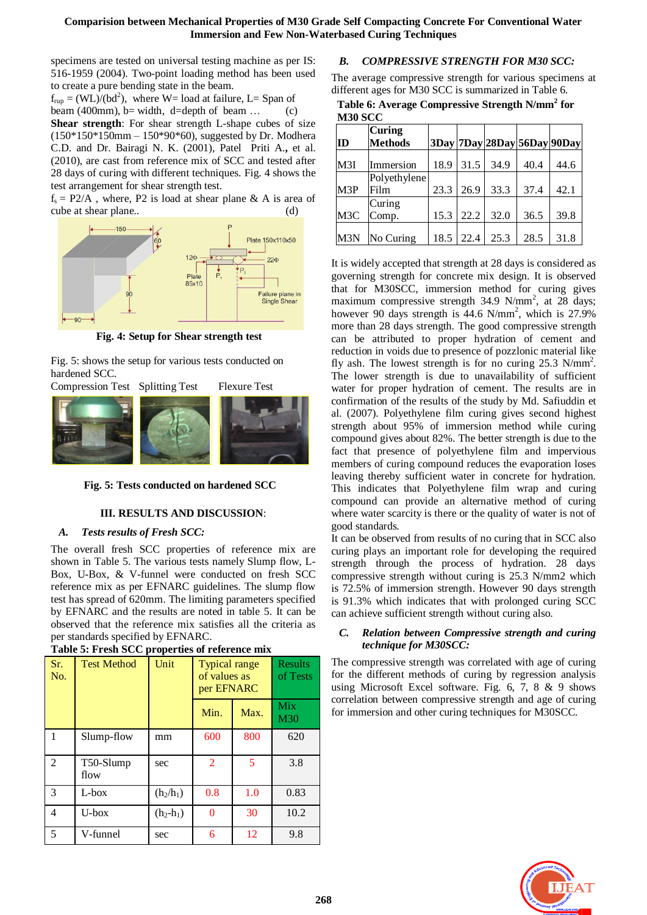specimens are tested on universal testing machine as per IS: 516-1959 (2004). Two-point loading method has been used to create a pure bending state in the beam.

 $f_{rup} = (WL)/(bd^2)$ , where W= load at failure, L= Span of

beam (400mm), b= width, d=depth of beam ... (c)

**Shear strength**: For shear strength L-shape cubes of size (150\*150\*150mm – 150\*90\*60), suggested by Dr. Modhera C.D. and Dr. Bairagi N. K. (2001), Patel Priti A.**,** et al. (2010), are cast from reference mix of SCC and tested after 28 days of curing with different techniques. Fig. 4 shows the test arrangement for shear strength test.

 $f_s = P2/A$ , where, P2 is load at shear plane & A is area of cube at shear plane.. (d)



**Fig. 4: Setup for Shear strength test**

Fig. 5: shows the setup for various tests conducted on hardened SCC.



**Fig. 5: Tests conducted on hardened SCC**

## **III. RESULTS AND DISCUSSION**:

## *A. Tests results of Fresh SCC:*

The overall fresh SCC properties of reference mix are shown in Table 5. The various tests namely Slump flow, L-Box, U-Box, & V-funnel were conducted on fresh SCC reference mix as per EFNARC guidelines. The slump flow test has spread of 620mm. The limiting parameters specified by EFNARC and the results are noted in table 5. It can be observed that the reference mix satisfies all the criteria as per standards specified by EFNARC.

| Table 5. FTCSH SCC properties of reference him |                    |             |                                                    |      |                            |
|------------------------------------------------|--------------------|-------------|----------------------------------------------------|------|----------------------------|
| Sr.<br>No.                                     | <b>Test Method</b> | Unit        | <b>Typical range</b><br>of values as<br>per EFNARC |      | <b>Results</b><br>of Tests |
|                                                |                    |             | Min.                                               | Max. | <b>Mix</b><br>M30          |
| 1                                              | Slump-flow         | mm          | 600                                                | 800  | 620                        |
| 2                                              | T50-Slump<br>flow  | sec         | 2                                                  | 5    | 3.8                        |
| 3                                              | L-box              | $(h_2/h_1)$ | 0.8                                                | 1.0  | 0.83                       |
| $\overline{4}$                                 | U-box              | $(h_2-h_1)$ | 0                                                  | 30   | 10.2                       |
| 5                                              | V-funnel           | sec         | 6                                                  | 12   | 9.8                        |

**Table 5: Fresh SCC properties of reference mix**

# *B. COMPRESSIVE STRENGTH FOR M30 SCC:*

The average compressive strength for various specimens at different ages for M30 SCC is summarized in Table 6.

**Table 6: Average Compressive Strength N/mm<sup>2</sup> for M30 SCC**

| ID               | Curing<br><b>Methods</b> |      |      | $3$ Day 7Day 28Day 56Day 90Day |      |      |
|------------------|--------------------------|------|------|--------------------------------|------|------|
| M3I              | Immersion                | 18.9 | 31.5 | 34.9                           | 40.4 | 44.6 |
|                  | Polyethylene             |      |      |                                |      |      |
| M3P              | Film                     | 23.3 | 26.9 | 33.3                           | 37.4 | 42.1 |
|                  | Curing                   |      |      |                                |      |      |
| M <sub>3</sub> C | Comp.                    | 15.3 | 22.2 | 32.0                           | 36.5 | 39.8 |
|                  |                          |      |      |                                |      |      |
| M3N              | No Curing                | 18.5 | 22.4 | 25.3                           | 28.5 | 31.8 |

It is widely accepted that strength at 28 days is considered as governing strength for concrete mix design. It is observed that for M30SCC, immersion method for curing gives maximum compressive strength  $34.9 \text{ N/mm}^2$ , at  $28 \text{ days}$ ; however 90 days strength is  $44.6$  N/mm<sup>2</sup>, which is 27.9% more than 28 days strength. The good compressive strength can be attributed to proper hydration of cement and reduction in voids due to presence of pozzlonic material like fly ash. The lowest strength is for no curing  $25.3$  N/mm<sup>2</sup>. The lower strength is due to unavailability of sufficient water for proper hydration of cement. The results are in confirmation of the results of the study by Md. Safiuddin et al. (2007). Polyethylene film curing gives second highest strength about 95% of immersion method while curing compound gives about 82%. The better strength is due to the fact that presence of polyethylene film and impervious members of curing compound reduces the evaporation loses leaving thereby sufficient water in concrete for hydration. This indicates that Polyethylene film wrap and curing compound can provide an alternative method of curing where water scarcity is there or the quality of water is not of good standards.

It can be observed from results of no curing that in SCC also curing plays an important role for developing the required strength through the process of hydration. 28 days compressive strength without curing is 25.3 N/mm2 which is 72.5% of immersion strength. However 90 days strength is 91.3% which indicates that with prolonged curing SCC can achieve sufficient strength without curing also.

## *C. Relation between Compressive strength and curing technique for M30SCC:*

The compressive strength was correlated with age of curing for the different methods of curing by regression analysis using Microsoft Excel software. Fig. 6, 7, 8 & 9 shows correlation between compressive strength and age of curing for immersion and other curing techniques for M30SCC.

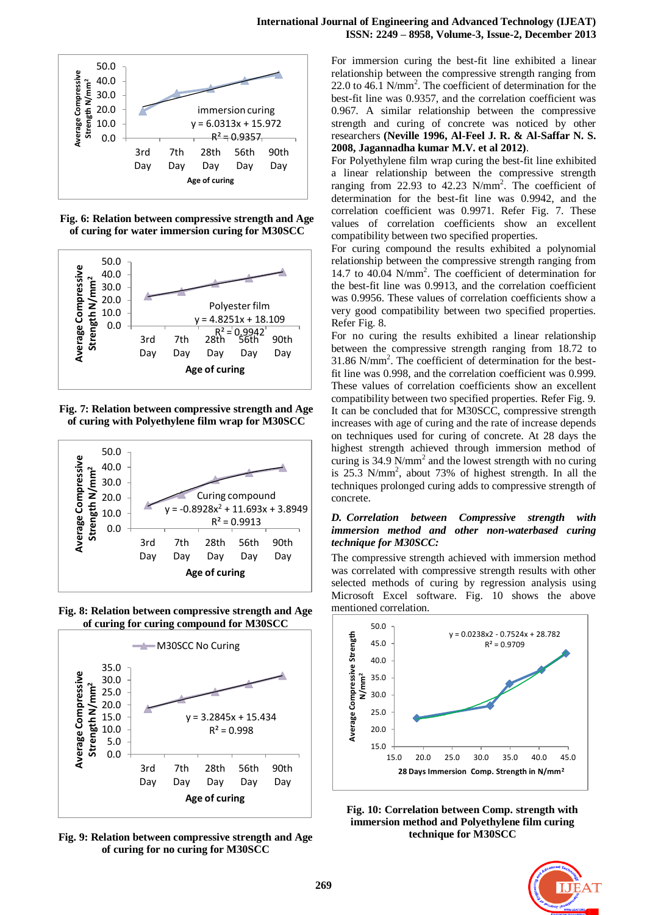

**Fig. 6: Relation between compressive strength and Age of curing for water immersion curing for M30SCC**



**Fig. 7: Relation between compressive strength and Age of curing with Polyethylene film wrap for M30SCC**



**Fig. 8: Relation between compressive strength and Age of curing for curing compound for M30SCC**



**Fig. 9: Relation between compressive strength and Age of curing for no curing for M30SCC**

For immersion curing the best-fit line exhibited a linear relationship between the compressive strength ranging from 22.0 to 46.1 N/mm<sup>2</sup>. The coefficient of determination for the best-fit line was 0.9357, and the correlation coefficient was 0.967. A similar relationship between the compressive strength and curing of concrete was noticed by other researchers **(Neville 1996, Al-Feel J. R. & Al-Saffar N. S. 2008, Jagannadha kumar M.V. et al 2012)**.

For Polyethylene film wrap curing the best-fit line exhibited a linear relationship between the compressive strength ranging from 22.93 to 42.23 N/mm<sup>2</sup>. The coefficient of determination for the best-fit line was 0.9942, and the correlation coefficient was 0.9971. Refer Fig. 7. These values of correlation coefficients show an excellent compatibility between two specified properties.

For curing compound the results exhibited a polynomial relationship between the compressive strength ranging from 14.7 to 40.04 N/mm<sup>2</sup> . The coefficient of determination for the best-fit line was 0.9913, and the correlation coefficient was 0.9956. These values of correlation coefficients show a very good compatibility between two specified properties. Refer Fig. 8.

For no curing the results exhibited a linear relationship between the compressive strength ranging from 18.72 to 31.86 N/mm<sup>2</sup> . The coefficient of determination for the bestfit line was 0.998, and the correlation coefficient was 0.999. These values of correlation coefficients show an excellent compatibility between two specified properties. Refer Fig. 9. It can be concluded that for M30SCC, compressive strength increases with age of curing and the rate of increase depends on techniques used for curing of concrete. At 28 days the highest strength achieved through immersion method of curing is 34.9 N/mm<sup>2</sup> and the lowest strength with no curing is 25.3 N/mm<sup>2</sup> , about 73% of highest strength. In all the techniques prolonged curing adds to compressive strength of concrete.

## *D. Correlation between Compressive strength with immersion method and other non-waterbased curing technique for M30SCC:*

The compressive strength achieved with immersion method was correlated with compressive strength results with other selected methods of curing by regression analysis using Microsoft Excel software. Fig. 10 shows the above mentioned correlation.



**Fig. 10: Correlation between Comp. strength with immersion method and Polyethylene film curing technique for M30SCC**

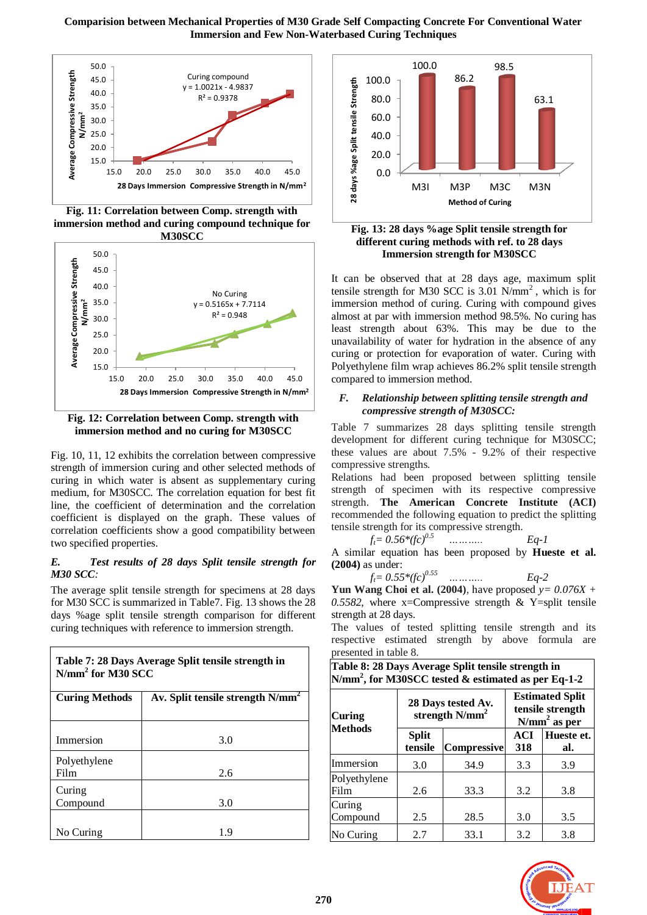

**Fig. 11: Correlation between Comp. strength with immersion method and curing compound technique for M30SCC**



**Fig. 12: Correlation between Comp. strength with immersion method and no curing for M30SCC**

Fig. 10, 11, 12 exhibits the correlation between compressive strength of immersion curing and other selected methods of curing in which water is absent as supplementary curing medium, for M30SCC. The correlation equation for best fit line, the coefficient of determination and the correlation coefficient is displayed on the graph. These values of correlation coefficients show a good compatibility between two specified properties.

## *E. Test results of 28 days Split tensile strength for M30 SCC:*

The average split tensile strength for specimens at 28 days for M30 SCC is summarized in Table7. Fig. 13 shows the 28 days %age split tensile strength comparison for different curing techniques with reference to immersion strength.

| Table 7: 28 Days Average Split tensile strength in<br>$N/mm2$ for M30 SCC |                                              |  |  |
|---------------------------------------------------------------------------|----------------------------------------------|--|--|
| <b>Curing Methods</b>                                                     | Av. Split tensile strength N/mm <sup>2</sup> |  |  |
| Immersion                                                                 | 3.0                                          |  |  |
| Polyethylene<br>Film                                                      | 2.6                                          |  |  |
| Curing<br>Compound                                                        | 3.0                                          |  |  |
| No Curing                                                                 | 1.9                                          |  |  |



**Fig. 13: 28 days %age Split tensile strength for different curing methods with ref. to 28 days Immersion strength for M30SCC**

It can be observed that at 28 days age, maximum split tensile strength for M30 SCC is  $3.01$  N/mm<sup>2</sup>, which is for immersion method of curing. Curing with compound gives almost at par with immersion method 98.5%. No curing has least strength about 63%. This may be due to the unavailability of water for hydration in the absence of any curing or protection for evaporation of water. Curing with Polyethylene film wrap achieves 86.2% split tensile strength compared to immersion method.

#### *F. Relationship between splitting tensile strength and compressive strength of M30SCC:*

Table 7 summarizes 28 days splitting tensile strength development for different curing technique for M30SCC; these values are about 7.5% - 9.2% of their respective compressive strengths.

Relations had been proposed between splitting tensile strength of specimen with its respective compressive strength. **The American Concrete Institute (ACI)** recommended the following equation to predict the splitting tensile strength for its compressive strength.

 $f_t = 0.56*(fc)^{0.5}$  *………... Eq-1* 

A similar equation has been proposed by **Hueste et al. (2004)** as under:

$$
f_t = 0.55*(fc)^{0.55}
$$
 .........  $Eq-2$ 

**Yun Wang Choi et al. (2004)**, have proposed *y= 0.076X + 0.5582*, where x=Compressive strength & Y=split tensile strength at 28 days.

The values of tested splitting tensile strength and its respective estimated strength by above formula are presented in table 8.

| Table 8: 28 Days Average Split tensile strength in<br>N/mm <sup>2</sup> , for M30SCC tested $\&$ estimated as per Eq-1-2 |                                        |                                         |            |                                                              |  |
|--------------------------------------------------------------------------------------------------------------------------|----------------------------------------|-----------------------------------------|------------|--------------------------------------------------------------|--|
| Curing                                                                                                                   |                                        | 28 Days tested Av.<br>strength $N/mm^2$ |            | <b>Estimated Split</b><br>tensile strength<br>$N/mm2$ as per |  |
| <b>Methods</b>                                                                                                           | <b>Split</b><br>tensile<br>Compressive |                                         | ACI<br>318 | Hueste et.<br>al.                                            |  |
| Immersion                                                                                                                | 3.0                                    | 34.9                                    | 3.3        | 3.9                                                          |  |
| Polyethylene<br>Film                                                                                                     | 2.6                                    | 33.3                                    | 3.2        | 3.8                                                          |  |
| Curing<br>Compound                                                                                                       | 2.5                                    | 28.5                                    | 3.0        | 3.5                                                          |  |
| No Curing                                                                                                                | 2.7                                    | 33.1                                    | 3.2        | 3.8                                                          |  |

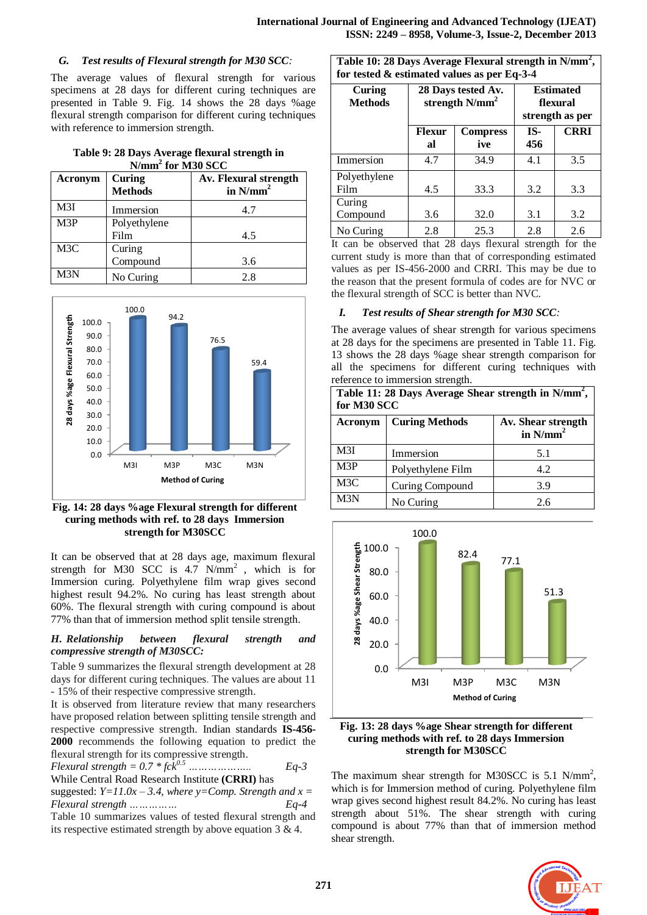## *G. Test results of Flexural strength for M30 SCC:*

The average values of flexural strength for various specimens at 28 days for different curing techniques are presented in Table 9. Fig. 14 shows the 28 days %age flexural strength comparison for different curing techniques with reference to immersion strength.

| Table 9: 28 Days Average flexural strength in |
|-----------------------------------------------|
| $N/mm2$ for M30 SCC                           |

| Acronym | Curing<br><b>Methods</b> | Av. Flexural strength<br>in $N/mm2$ |
|---------|--------------------------|-------------------------------------|
| M3I     | Immersion                | 4.7                                 |
| M3P     | Polyethylene             |                                     |
|         | Film                     | 4.5                                 |
| M3C     | Curing                   |                                     |
|         | Compound                 | 3.6                                 |
| M3N     | No Curing                | 2.8                                 |



**Fig. 14: 28 days %age Flexural strength for different curing methods with ref. to 28 days Immersion strength for M30SCC**

It can be observed that at 28 days age, maximum flexural strength for M30 SCC is  $4.7 \text{ N/mm}^2$ , which is for Immersion curing. Polyethylene film wrap gives second highest result 94.2%. No curing has least strength about 60%. The flexural strength with curing compound is about 77% than that of immersion method split tensile strength.

## *H. Relationship between flexural strength and compressive strength of M30SCC:*

Table 9 summarizes the flexural strength development at 28 days for different curing techniques. The values are about 11 - 15% of their respective compressive strength.

It is observed from literature review that many researchers have proposed relation between splitting tensile strength and respective compressive strength. Indian standards **IS-456- 2000** recommends the following equation to predict the flexural strength for its compressive strength.

*Flexural strength = 0.7 \* fck0.5 ……………….. Eq-3* While Central Road Research Institute **(CRRI)** has suggested:  $Y=11.0x-3.4$ , where  $y=Comp$ . Strength and  $x=$ *Flexural strength …………… Eq-4* Table 10 summarizes values of tested flexural strength and

its respective estimated strength by above equation 3 & 4.

**Table 10: 28 Days Average Flexural strength in N/mm<sup>2</sup> , for tested & estimated values as per Eq-3-4**

| 101 Resicu & Csumancu values as per Eq-9-+<br>Curing<br><b>Methods</b> | 28 Days tested Av.<br>strength N/mm <sup>2</sup> |                        |            | <b>Estimated</b><br>flexural<br>strength as per |
|------------------------------------------------------------------------|--------------------------------------------------|------------------------|------------|-------------------------------------------------|
|                                                                        | <b>Flexur</b><br>al                              | <b>Compress</b><br>ive | IS-<br>456 | <b>CRRI</b>                                     |
| Immersion                                                              | 4.7                                              | 34.9                   | 4.1        | 3.5                                             |
| Polyethylene<br>Film                                                   | 4.5                                              | 33.3                   | 3.2        | 3.3                                             |
| Curing<br>Compound                                                     | 3.6                                              | 32.0                   | 3.1        | 3.2                                             |
| No Curing                                                              | 2.8                                              | 25.3                   | 2.8        | 2.6                                             |

It can be observed that 28 days flexural strength for the current study is more than that of corresponding estimated values as per IS-456-2000 and CRRI. This may be due to the reason that the present formula of codes are for NVC or the flexural strength of SCC is better than NVC.

# *I. Test results of Shear strength for M30 SCC:*

The average values of shear strength for various specimens at 28 days for the specimens are presented in Table 11. Fig. 13 shows the 28 days %age shear strength comparison for all the specimens for different curing techniques with reference to immersion strength.

| Table 11: 28 Days Average Shear strength in N/mm <sup>2</sup> ,<br>for M30 SCC |                       |                                   |  |
|--------------------------------------------------------------------------------|-----------------------|-----------------------------------|--|
| Acronym                                                                        | <b>Curing Methods</b> | Av. Shear strength<br>in $N/mm^2$ |  |
| M3I                                                                            | Immersion             | 5.1                               |  |
| M3P                                                                            | Polyethylene Film     | 4.2                               |  |
| M <sub>3</sub> C                                                               | Curing Compound       | 3.9                               |  |
| M3N                                                                            | No Curing             | 2.6                               |  |



**Fig. 13: 28 days %age Shear strength for different curing methods with ref. to 28 days Immersion strength for M30SCC**

The maximum shear strength for M30SCC is  $5.1$  N/mm<sup>2</sup>, which is for Immersion method of curing. Polyethylene film wrap gives second highest result 84.2%. No curing has least strength about 51%. The shear strength with curing compound is about 77% than that of immersion method shear strength.